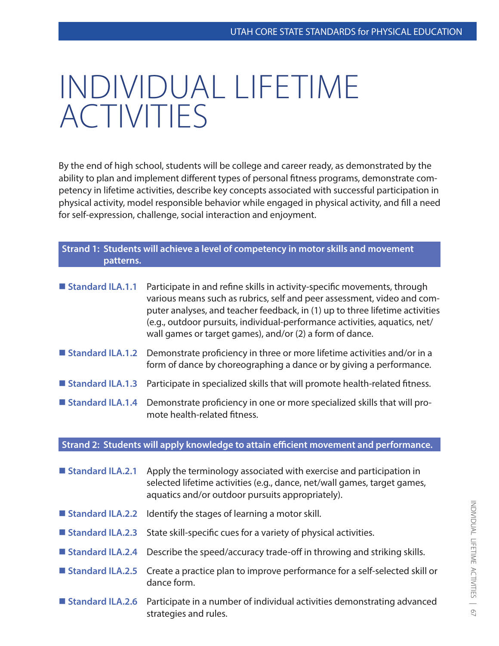## INDIVIDUAL LIFETIME ACTIVITIES

By the end of high school, students will be college and career ready, as demonstrated by the ability to plan and implement different types of personal fitness programs, demonstrate competency in lifetime activities, describe key concepts associated with successful participation in physical activity, model responsible behavior while engaged in physical activity, and fill a need for self-expression, challenge, social interaction and enjoyment.

| Strand 1: Students will achieve a level of competency in motor skills and movement<br>patterns. |                                                                                                                                                                                                                                                                                                                                                                               |
|-------------------------------------------------------------------------------------------------|-------------------------------------------------------------------------------------------------------------------------------------------------------------------------------------------------------------------------------------------------------------------------------------------------------------------------------------------------------------------------------|
| Standard ILA.1.1                                                                                | Participate in and refine skills in activity-specific movements, through<br>various means such as rubrics, self and peer assessment, video and com-<br>puter analyses, and teacher feedback, in (1) up to three lifetime activities<br>(e.g., outdoor pursuits, individual-performance activities, aquatics, net/<br>wall games or target games), and/or (2) a form of dance. |
| Standard ILA.1.2                                                                                | Demonstrate proficiency in three or more lifetime activities and/or in a<br>form of dance by choreographing a dance or by giving a performance.                                                                                                                                                                                                                               |
| ■ Standard ILA.1.3                                                                              | Participate in specialized skills that will promote health-related fitness.                                                                                                                                                                                                                                                                                                   |
| Standard ILA.1.4                                                                                | Demonstrate proficiency in one or more specialized skills that will pro-<br>mote health-related fitness.                                                                                                                                                                                                                                                                      |

## **Strand 2: Students will apply knowledge to attain efficient movement and performance.**

| Standard ILA.2.1 | Apply the terminology associated with exercise and participation in<br>selected lifetime activities (e.g., dance, net/wall games, target games,<br>aquatics and/or outdoor pursuits appropriately). |
|------------------|-----------------------------------------------------------------------------------------------------------------------------------------------------------------------------------------------------|
|                  | <b>Standard ILA.2.2</b> Identify the stages of learning a motor skill.                                                                                                                              |
|                  | <b>Example 15 Standard ILA.2.3</b> State skill-specific cues for a variety of physical activities.                                                                                                  |
|                  | ■ Standard ILA.2.4 Describe the speed/accuracy trade-off in throwing and striking skills.                                                                                                           |
|                  | <b>E</b> Standard ILA.2.5 Create a practice plan to improve performance for a self-selected skill or<br>dance form.                                                                                 |
|                  | ■ Standard ILA.2.6 Participate in a number of individual activities demonstrating advanced<br>strategies and rules.                                                                                 |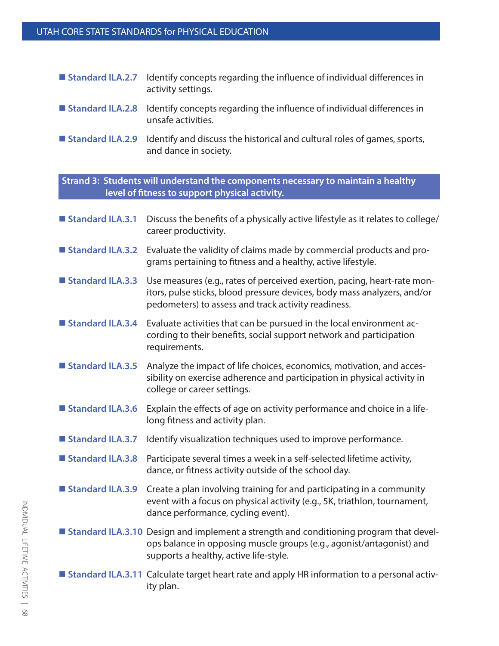| <b>Standard ILA.2.7</b> Identify concepts regarding the influence of individual differences in |
|------------------------------------------------------------------------------------------------|
| activity settings.                                                                             |

- **Standard ILA.2.8** Identify concepts regarding the influence of individual differences in unsafe activities.
- **Standard ILA.2.9** Identify and discuss the historical and cultural roles of games, sports, and dance in society.

**Strand 3: Students will understand the components necessary to maintain a healthy level of fitness to support physical activity.**

- **Standard ILA.3.1** Discuss the benefits of a physically active lifestyle as it relates to college/ career productivity.
- **Standard ILA.3.2** Evaluate the validity of claims made by commercial products and programs pertaining to fitness and a healthy, active lifestyle.
- Standard ILA.3.3 Use measures (e.g., rates of perceived exertion, pacing, heart-rate monitors, pulse sticks, blood pressure devices, body mass analyzers, and/or pedometers) to assess and track activity readiness.
- **Standard ILA.3.4** Evaluate activities that can be pursued in the local environment according to their benefits, social support network and participation requirements.
- Standard ILA.3.5 Analyze the impact of life choices, economics, motivation, and accessibility on exercise adherence and participation in physical activity in college or career settings.
- **Standard ILA.3.6** Explain the effects of age on activity performance and choice in a lifelong fitness and activity plan.
- **Standard ILA.3.7** Identify visualization techniques used to improve performance.
- **Standard ILA.3.8** Participate several times a week in a self-selected lifetime activity, dance, or fitness activity outside of the school day.
- **Standard ILA.3.9** Create a plan involving training for and participating in a community event with a focus on physical activity (e.g., 5K, triathlon, tournament, dance performance, cycling event).
- **Standard ILA.3.10** Design and implement a strength and conditioning program that develops balance in opposing muscle groups (e.g., agonist/antagonist) and supports a healthy, active life-style.
- **Standard ILA.3.11** Calculate target heart rate and apply HR information to a personal activity plan.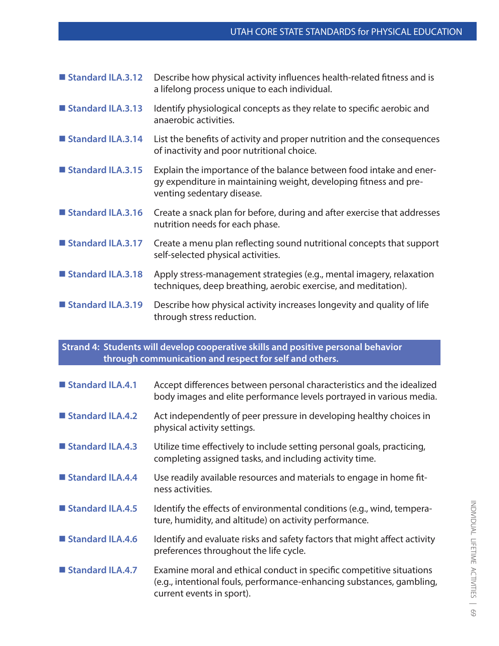| Standard ILA.3.12 | Describe how physical activity influences health-related fitness and is<br>a lifelong process unique to each individual.                                               |
|-------------------|------------------------------------------------------------------------------------------------------------------------------------------------------------------------|
| Standard ILA.3.13 | Identify physiological concepts as they relate to specific aerobic and<br>anaerobic activities.                                                                        |
| Standard ILA.3.14 | List the benefits of activity and proper nutrition and the consequences<br>of inactivity and poor nutritional choice.                                                  |
| Standard ILA.3.15 | Explain the importance of the balance between food intake and ener-<br>gy expenditure in maintaining weight, developing fitness and pre-<br>venting sedentary disease. |
| Standard ILA.3.16 | Create a snack plan for before, during and after exercise that addresses<br>nutrition needs for each phase.                                                            |
| Standard ILA.3.17 | Create a menu plan reflecting sound nutritional concepts that support<br>self-selected physical activities.                                                            |
| Standard ILA.3.18 | Apply stress-management strategies (e.g., mental imagery, relaxation<br>techniques, deep breathing, aerobic exercise, and meditation).                                 |
| Standard ILA.3.19 | Describe how physical activity increases longevity and quality of life<br>through stress reduction.                                                                    |

**Strand 4: Students will develop cooperative skills and positive personal behavior through communication and respect for self and others.** 

| Standard ILA.4.1   | Accept differences between personal characteristics and the idealized<br>body images and elite performance levels portrayed in various media.                              |
|--------------------|----------------------------------------------------------------------------------------------------------------------------------------------------------------------------|
| ■ Standard ILA.4.2 | Act independently of peer pressure in developing healthy choices in<br>physical activity settings.                                                                         |
| ■ Standard ILA.4.3 | Utilize time effectively to include setting personal goals, practicing,<br>completing assigned tasks, and including activity time.                                         |
| ■ Standard ILA.4.4 | Use readily available resources and materials to engage in home fit-<br>ness activities.                                                                                   |
| Standard ILA.4.5   | Identify the effects of environmental conditions (e.g., wind, tempera-<br>ture, humidity, and altitude) on activity performance.                                           |
| Standard ILA.4.6   | Identify and evaluate risks and safety factors that might affect activity<br>preferences throughout the life cycle.                                                        |
| Standard ILA.4.7   | Examine moral and ethical conduct in specific competitive situations<br>(e.g., intentional fouls, performance-enhancing substances, gambling,<br>current events in sport). |